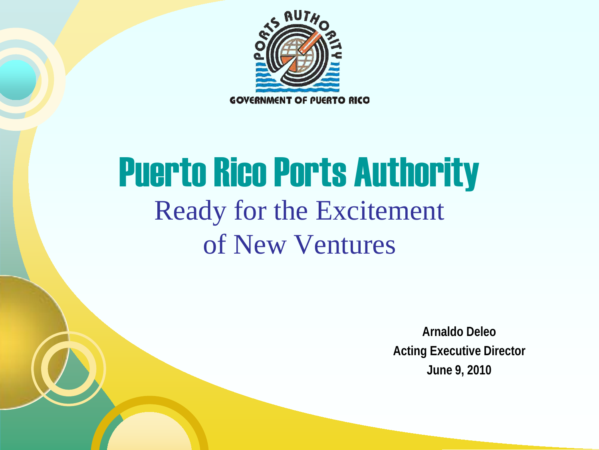

# Puerto Rico Ports Authority Ready for the Excitement of New Ventures

**Arnaldo Deleo Acting Executive Director June 9, 2010**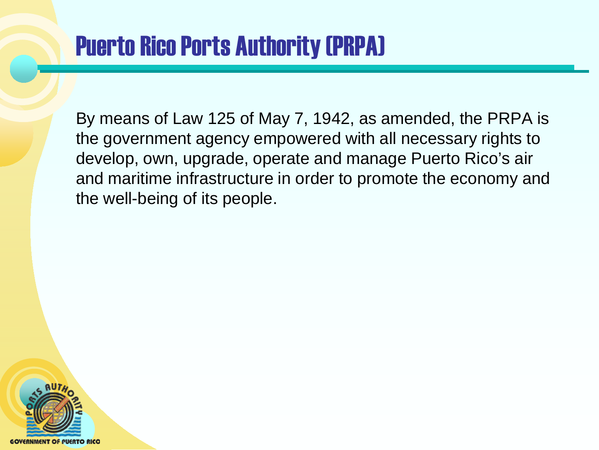### Puerto Rico Ports Authority (PRPA)

By means of Law 125 of May 7, 1942, as amended, the PRPA is the government agency empowered with all necessary rights to develop, own, upgrade, operate and manage Puerto Rico's air and maritime infrastructure in order to promote the economy and the well-being of its people.

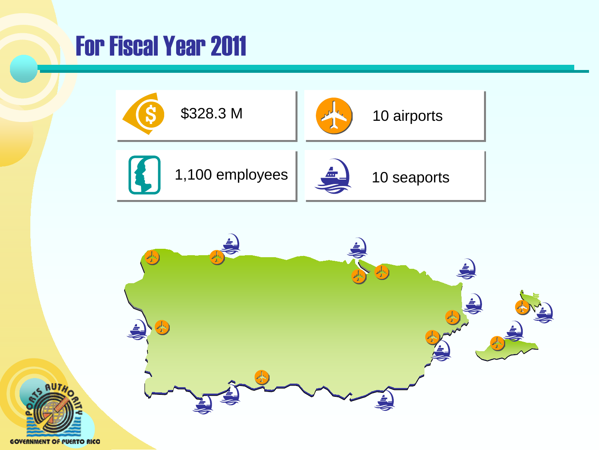### For Fiscal Year 2011





**GOVERNMENT OF PUERTO RICO**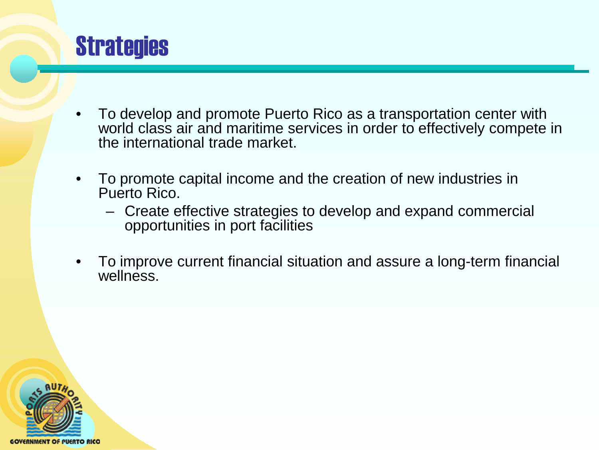

- To develop and promote Puerto Rico as a transportation center with world class air and maritime services in order to effectively compete in the international trade market.
- To promote capital income and the creation of new industries in Puerto Rico.
	- Create effective strategies to develop and expand commercial opportunities in port facilities
- To improve current financial situation and assure a long-term financial wellness.

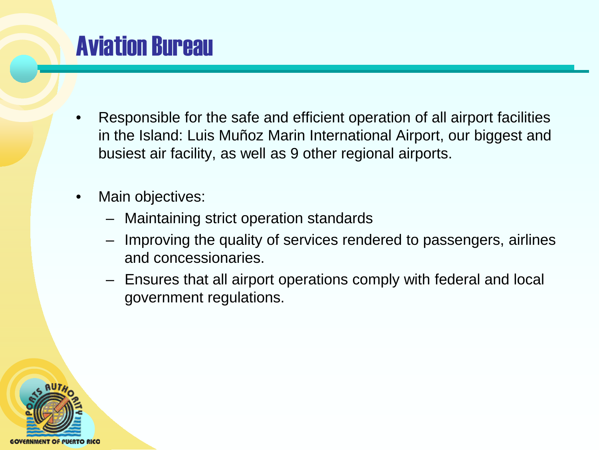### Aviation Bureau

- Responsible for the safe and efficient operation of all airport facilities in the Island: Luis Muñoz Marin International Airport, our biggest and busiest air facility, as well as 9 other regional airports.
- Main objectives:
	- Maintaining strict operation standards
	- Improving the quality of services rendered to passengers, airlines and concessionaries.
	- Ensures that all airport operations comply with federal and local government regulations.

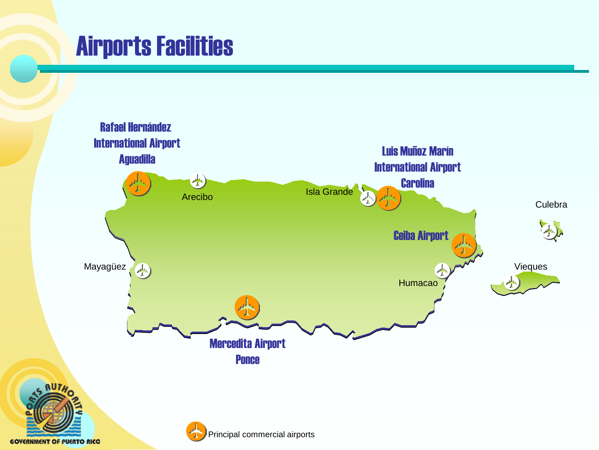### Airports Facilities



**GOVERNMENT OF PUERTO RICO**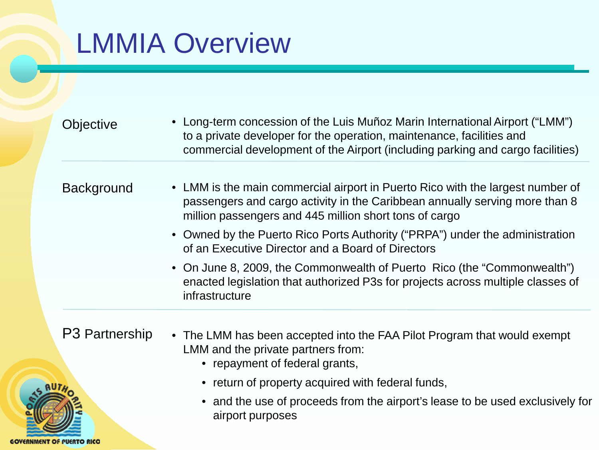## LMMIA Overview

**GOVERNMENT OF PUERTO RICO** 

| Objective         | • Long-term concession of the Luis Muñoz Marin International Airport ("LMM")<br>to a private developer for the operation, maintenance, facilities and<br>commercial development of the Airport (including parking and cargo facilities) |
|-------------------|-----------------------------------------------------------------------------------------------------------------------------------------------------------------------------------------------------------------------------------------|
| <b>Background</b> | • LMM is the main commercial airport in Puerto Rico with the largest number of<br>passengers and cargo activity in the Caribbean annually serving more than 8<br>million passengers and 445 million short tons of cargo                 |
|                   | • Owned by the Puerto Rico Ports Authority ("PRPA") under the administration<br>of an Executive Director and a Board of Directors                                                                                                       |
|                   | • On June 8, 2009, the Commonwealth of Puerto Rico (the "Commonwealth")<br>enacted legislation that authorized P3s for projects across multiple classes of<br>infrastructure                                                            |
| P3 Partnership    | • The LMM has been accepted into the FAA Pilot Program that would exempt<br>LMM and the private partners from:<br>مغمضيتم المعام والمتكيم المتمنعين يمنعن                                                                               |

- repayment of federal grants,
- return of property acquired with federal funds,
- and the use of proceeds from the airport's lease to be used exclusively for airport purposes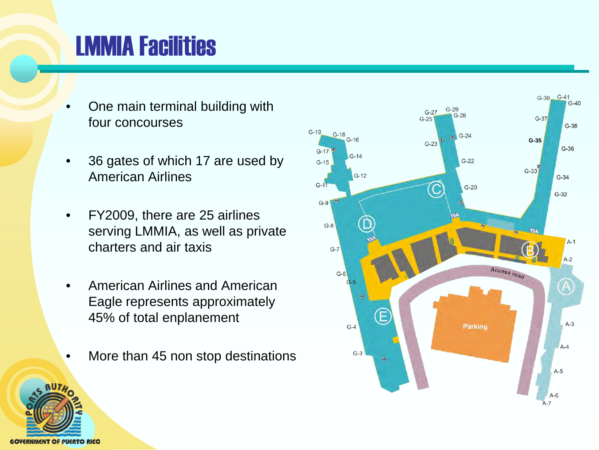### LMMIA Facilities

- One main terminal building with four concourses
- 36 gates of which 17 are used by American Airlines
- FY2009, there are 25 airlines serving LMMIA, as well as private charters and air taxis
- American Airlines and American Eagle represents approximately 45% of total enplanement
- More than 45 non stop destinations



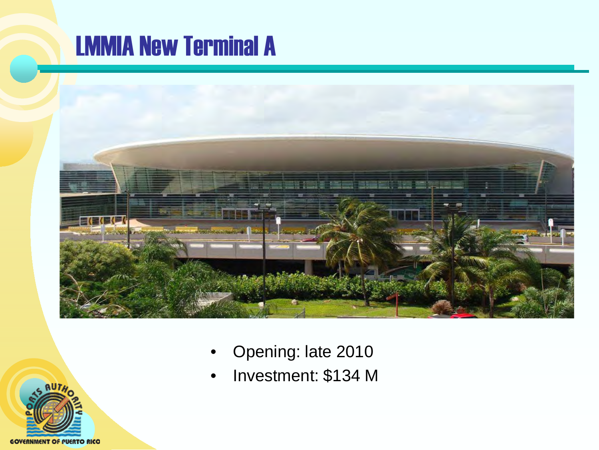### LMMIA New Terminal A



- Opening: late 2010
- Investment: \$134 M

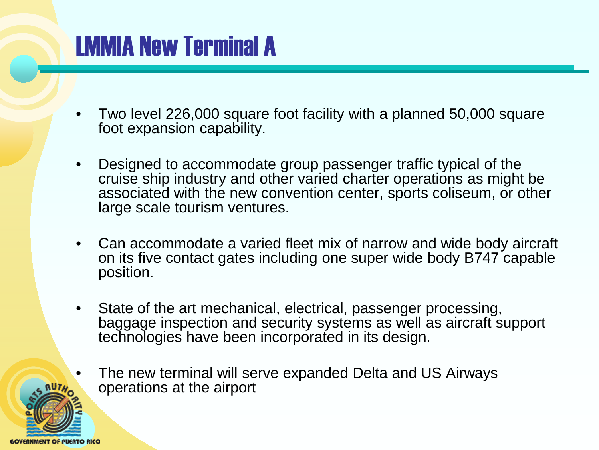### LMMIA New Terminal A

- Two level 226,000 square foot facility with a planned 50,000 square foot expansion capability.
- Designed to accommodate group passenger traffic typical of the cruise ship industry and other varied charter operations as might be associated with the new convention center, sports coliseum, or other large scale tourism ventures.
- Can accommodate a varied fleet mix of narrow and wide body aircraft on its five contact gates including one super wide body B747 capable position.
- State of the art mechanical, electrical, passenger processing, baggage inspection and security systems as well as aircraft support technologies have been incorporated in its design.
	- The new terminal will serve expanded Delta and US Airways operations at the airport

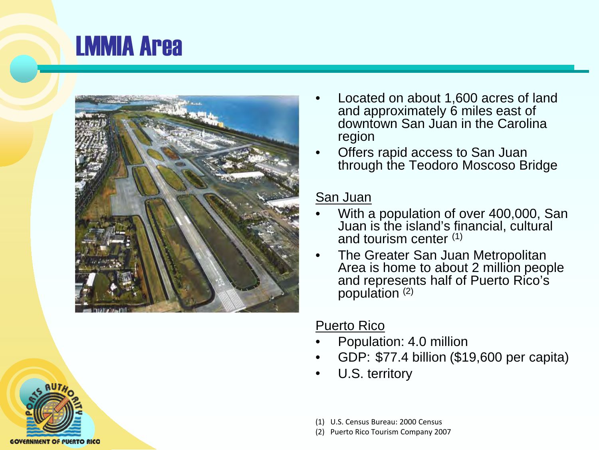### LMMIA Area



- Located on about 1,600 acres of land and approximately 6 miles east of downtown San Juan in the Carolina region
- Offers rapid access to San Juan through the Teodoro Moscoso Bridge

#### San Juan

- With a population of over 400,000, San Juan is the island's financial, cultural and tourism center (1)
- The Greater San Juan Metropolitan Area is home to about 2 million people and represents half of Puerto Rico's population  $(2)$

#### Puerto Rico

- Population: 4.0 million
- GDP: \$77.4 billion (\$19,600 per capita)
- U.S. territory
- (1) U.S. Census Bureau: 2000 Census
- (2) Puerto Rico Tourism Company 2007

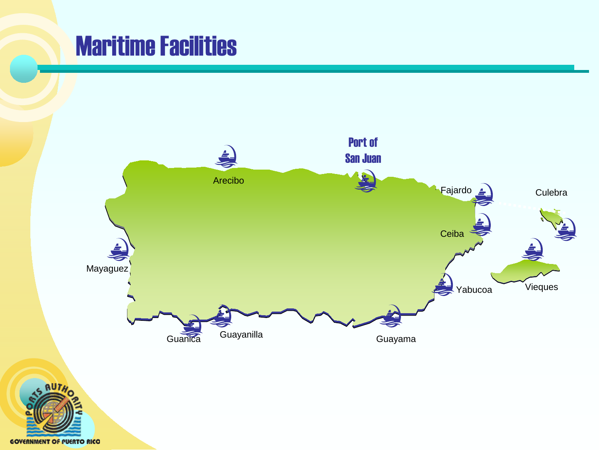### Maritime Facilities



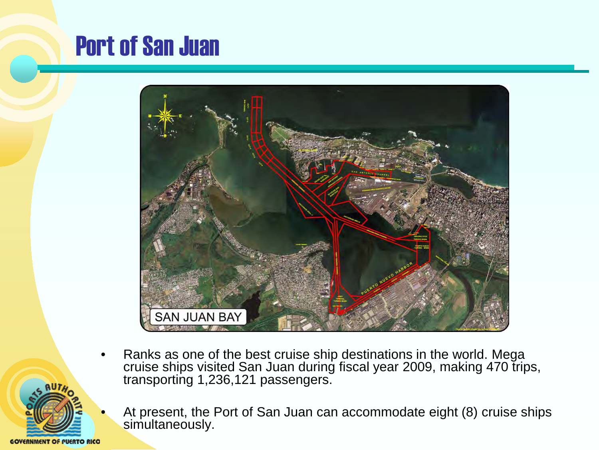### Port of San Juan



- Ranks as one of the best cruise ship destinations in the world. Mega cruise ships visited San Juan during fiscal year 2009, making 470 trips, transporting 1,236,121 passengers.
- GOVERNMENT OF PUERTO RICO
- At present, the Port of San Juan can accommodate eight (8) cruise ships simultaneously.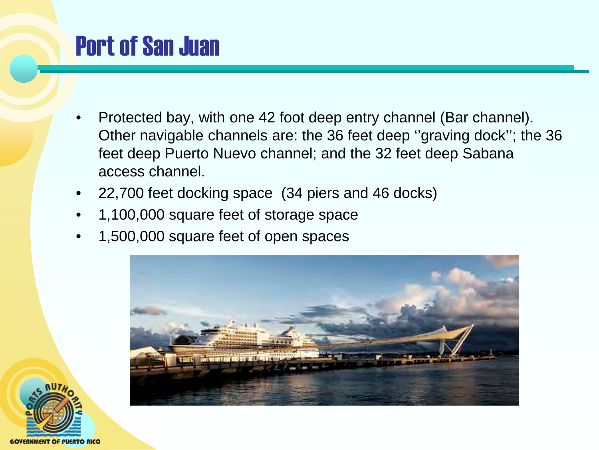### Port of San Juan

- Protected bay, with one 42 foot deep entry channel (Bar channel). Other navigable channels are: the 36 feet deep ''graving dock''; the 36 feet deep Puerto Nuevo channel; and the 32 feet deep Sabana access channel.
- 22,700 feet docking space (34 piers and 46 docks)
- 1,100,000 square feet of storage space
- 1,500,000 square feet of open spaces



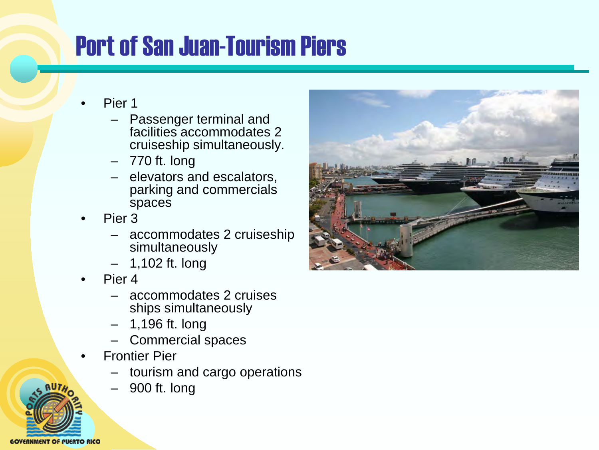## Port of San Juan-Tourism Piers

- Pier 1
	- Passenger terminal and facilities accommodates 2 cruiseship simultaneously.
	- 770 ft. long
	- elevators and escalators, parking and commercials spaces
- Pier 3
	- accommodates 2 cruiseship simultaneously
	- 1,102 ft. long
- Pier 4
	- accommodates 2 cruises ships simultaneously
	- 1,196 ft. long
	- Commercial spaces
- Frontier Pier
	- tourism and cargo operations
	- 900 ft. long



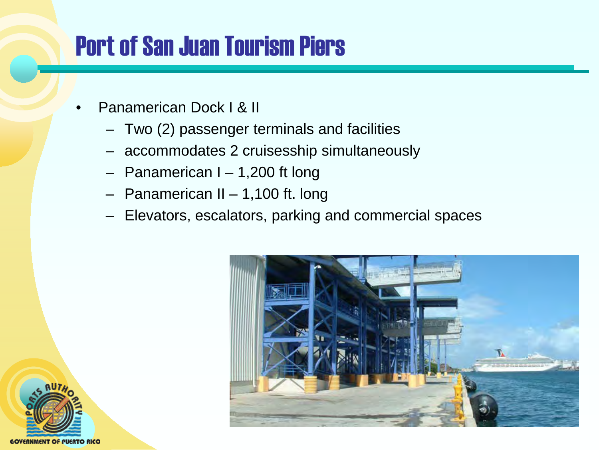### Port of San Juan Tourism Piers

- Panamerican Dock I & II
	- Two (2) passenger terminals and facilities
	- accommodates 2 cruisesship simultaneously
	- Panamerican I 1,200 ft long
	- Panamerican II 1,100 ft. long
	- Elevators, escalators, parking and commercial spaces



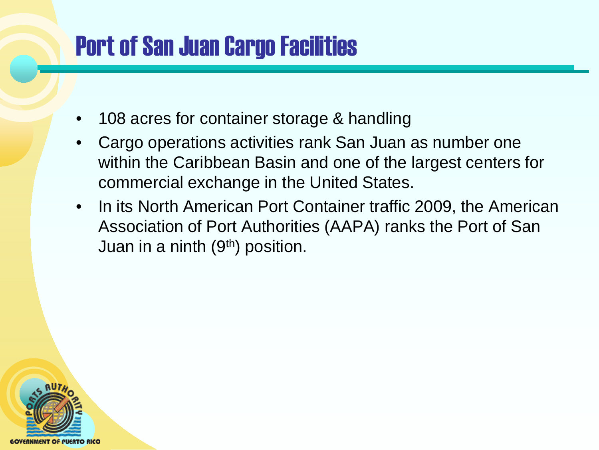### Port of San Juan Cargo Facilities

- 108 acres for container storage & handling
- Cargo operations activities rank San Juan as number one within the Caribbean Basin and one of the largest centers for commercial exchange in the United States.
- In its North American Port Container traffic 2009, the American Association of Port Authorities (AAPA) ranks the Port of San Juan in a ninth  $(9<sup>th</sup>)$  position.

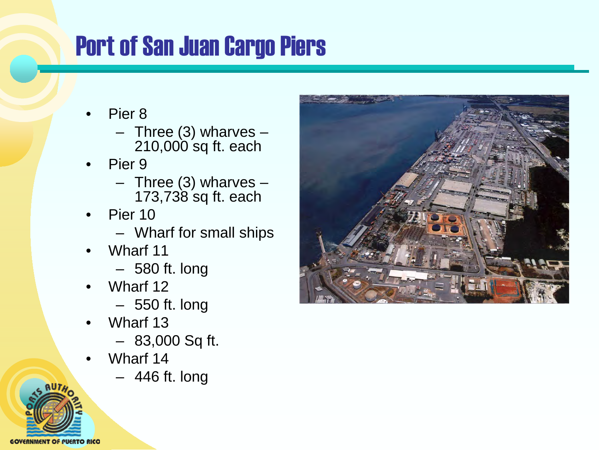### Port of San Juan Cargo Piers

- Pier 8
	- Three (3) wharves 210,000 sq ft. each
- Pier 9
	- Three (3) wharves 173,738 sq ft. each
- Pier 10
	- Wharf for small ships
- Wharf 11
	- 580 ft. long
- Wharf 12
	- 550 ft. long
- Wharf 13
	- 83,000 Sq ft.
- Wharf 14
	- 446 ft. long



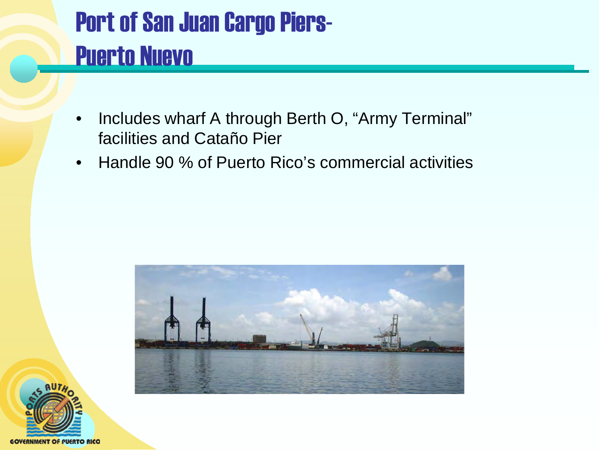## Port of San Juan Cargo Piers-Puerto Nuevo

- Includes wharf A through Berth O, "Army Terminal" facilities and Cataño Pier
- Handle 90 % of Puerto Rico's commercial activities